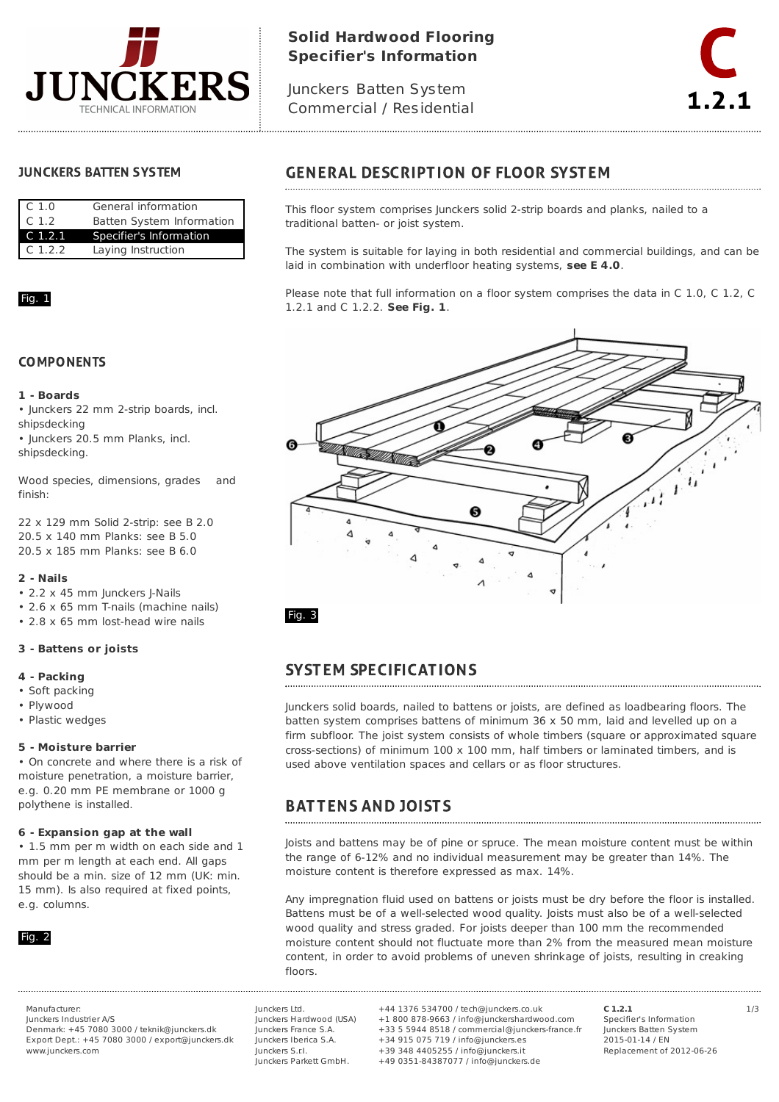

# **Solid Hardwood Flooring Specifier's Information**

Junckers Batten System Commercial / Residential



### **JUNCKERS BATTEN SYSTEM**

| C <sub>1.0</sub>   | General information       |
|--------------------|---------------------------|
| C <sub>1.2</sub>   | Batten System Information |
| C <sub>1.2.1</sub> | Specifier's Information   |
| C.1.2.2            | Laying Instruction        |

### Fig. 1

### **COMPONENTS**

#### **1 - Boards**

• Junckers 22 mm 2-strip boards, incl. shipsdecking

• Junckers 20.5 mm Planks, incl. shipsdecking.

Wood species, dimensions, grades and finish:

22 x 129 mm Solid 2-strip: see B 2.0 20.5 x 140 mm Planks: see B 5.0 20.5 x 185 mm Planks: see B 6.0

#### **2 - Nails**

- 2.2 x 45 mm Junckers J-Nails
- 2.6 x 65 mm T-nails (machine nails)
- 2.8 x 65 mm lost-head wire nails

#### **3 - Battens or joists**

#### **4 - Packing**

- Soft packing
- Plywood
- Plastic wedges

#### **5 - Moisture barrier**

• On concrete and where there is a risk of moisture penetration, a moisture barrier, e.g. 0.20 mm PE membrane or 1000 g polythene is installed.

#### **6 - Expansion gap at the wall**

• 1.5 mm per m width on each side and 1 mm per m length at each end. All gaps should be a min. size of 12 mm (UK: min. 15 mm). Is also required at fixed points, e.g. columns.



Junckers Industrier A/S Denmark: +45 7080 3000 / teknik@junckers.dk Export Dept.: +45 7080 3000 / export@junckers.dk www.junckers.com

Junckers Ltd. Junckers Hardwood (USA) Junckers France S.A. Junckers Iberica S.A. Junckers S.r.I. Junckers Parkett GmbH.

Manufacturer: Junckers Ltd. +44 1376 534700 / tech@junckers.co.uk **C 1.2.1** 1/3 +1 800 878-9663 / info@junckershardwood.com +33 5 5944 8518 / commercial@junckers-france.fr +34 915 075 719 / info@junckers.es +39 348 4405255 / info@junckers.it +49 0351-84387077 / info@junckers.de

**C 1.2.1** Specifier's Information Junckers Batten System 2015-01-14 / EN Replacement of 2012-06-26

## **GENERAL DESCRIPTION OF FLOOR SYSTEM**

This floor system comprises Junckers solid 2-strip boards and planks, nailed to a traditional batten- or joist system.

The system is suitable for laying in both residential and commercial buildings, and can be laid in combination with underfloor heating systems, **see E 4.0**.

Please note that full information on a floor system comprises the data in C 1.0, C 1.2, C 1.2.1 and C 1.2.2. **See Fig. 1**.



## **SYSTEM SPECIFICATIONS**

Junckers solid boards, nailed to battens or joists, are defined as loadbearing floors. The batten system comprises battens of minimum 36 x 50 mm, laid and levelled up on a firm subfloor. The joist system consists of whole timbers (square or approximated square cross-sections) of minimum 100 x 100 mm, half timbers or laminated timbers, and is used above ventilation spaces and cellars or as floor structures.

#### **BATTENS AND JOISTS**

Joists and battens may be of pine or spruce. The mean moisture content must be within the range of 6-12% and no individual measurement may be greater than 14%. The moisture content is therefore expressed as max. 14%.

Any impregnation fluid used on battens or joists must be dry before the floor is installed. Battens must be of a well-selected wood quality. Joists must also be of a well-selected wood quality and stress graded. For joists deeper than 100 mm the recommended moisture content should not fluctuate more than 2% from the measured mean moisture content, in order to avoid problems of uneven shrinkage of joists, resulting in creaking floors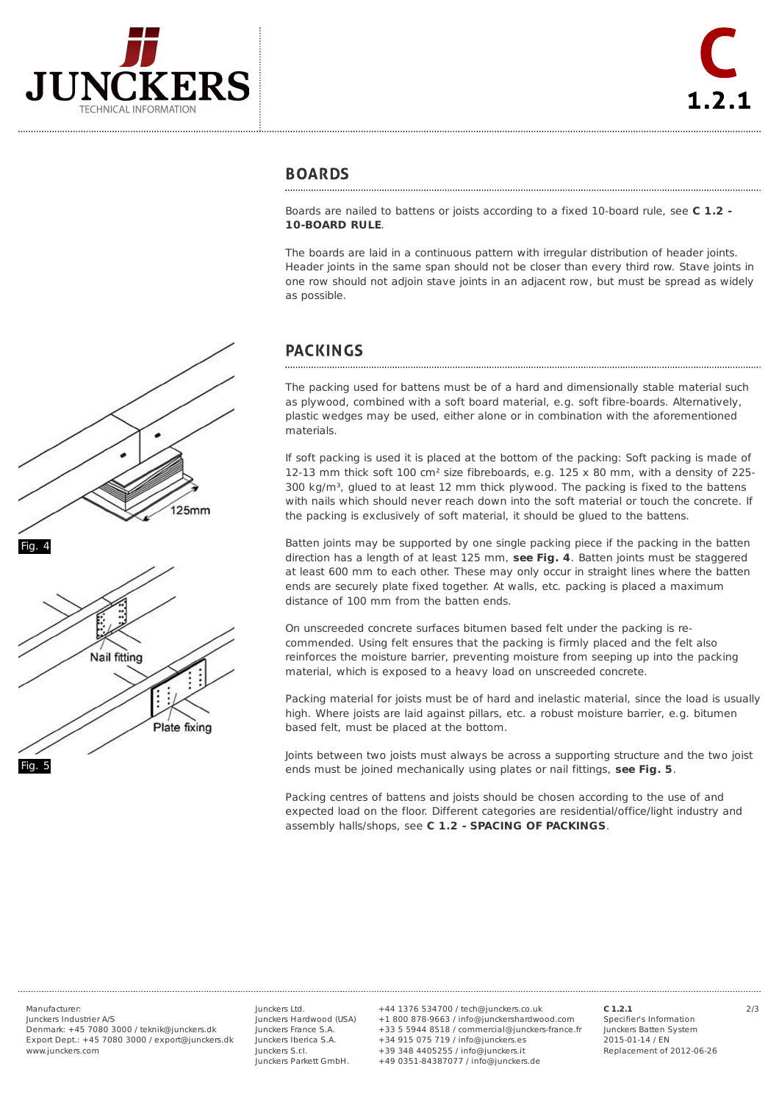



#### **BOARDS**

Boards are nailed to battens or joists according to a fixed 10-board rule, see **C 1.2 - 10-BOARD RULE**.

The boards are laid in a continuous pattern with irregular distribution of header joints. Header joints in the same span should not be closer than every third row. Stave joints in one row should not adjoin stave joints in an adjacent row, but must be spread as widely as possible.

## **PACKINGS**

The packing used for battens must be of a hard and dimensionally stable material such as plywood, combined with a soft board material, e.g. soft fibre-boards. Alternatively, plastic wedges may be used, either alone or in combination with the aforementioned materials.

If soft packing is used it is placed at the bottom of the packing: Soft packing is made of 12-13 mm thick soft 100 cm<sup>2</sup> size fibreboards, e.g.  $125 \times 80$  mm, with a density of 225- $300 \text{ kg/m}^3$ , glued to at least 12 mm thick plywood. The packing is fixed to the battens with nails which should never reach down into the soft material or touch the concrete. If the packing is exclusively of soft material, it should be glued to the battens.

Batten joints may be supported by one single packing piece if the packing in the batten direction has a length of at least 125 mm, **see Fig. 4**. Batten joints must be staggered at least 600 mm to each other. These may only occur in straight lines where the batten ends are securely plate fixed together. At walls, etc. packing is placed a maximum distance of 100 mm from the batten ends.

On unscreeded concrete surfaces bitumen based felt under the packing is recommended. Using felt ensures that the packing is firmly placed and the felt also reinforces the moisture barrier, preventing moisture from seeping up into the packing material, which is exposed to a heavy load on unscreeded concrete.

Packing material for joists must be of hard and inelastic material, since the load is usually high. Where joists are laid against pillars, etc. a robust moisture barrier, e.g. bitumen based felt, must be placed at the bottom.

Joints between two joists must always be across a supporting structure and the two joist ends must be joined mechanically using plates or nail fittings, **see Fig. 5**.

Packing centres of battens and joists should be chosen according to the use of and expected load on the floor. Different categories are residential/office/light industry and assembly halls/shops, see **C 1.2 - SPACING OF PACKINGS**.





Junckers Industrier A/S Denmark: +45 7080 3000 / teknik@junckers.dk Export Dept.: +45 7080 3000 / export@junckers.dk www.junckers.com

Junckers Ltd. Junckers Hardwood (USA) Junckers France S.A. Junckers Iberica S.A. Junckers S.r.I. Junckers Parkett GmbH.

Manufacturer: 2/3 +44 1376 534700 / tech@junckers.co.uk +1 800 878-9663 / info@junckershardwood.com +33 5 5944 8518 / commercial@junckers-france.fr +34 915 075 719 / info@junckers.es +39 348 4405255 / info@junckers.it +49 0351-84387077 / info@junckers.de

**C 1.2.1** Specifier's Information Junckers Batten System 2015-01-14 / EN Replacement of 2012-06-26